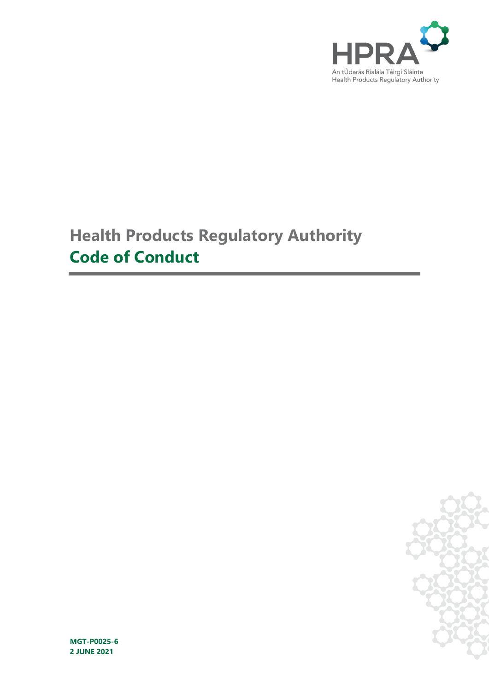

# **Health Products Regulatory Authority Code of Conduct**



**MGT-P0025-6 2 JUNE 2021**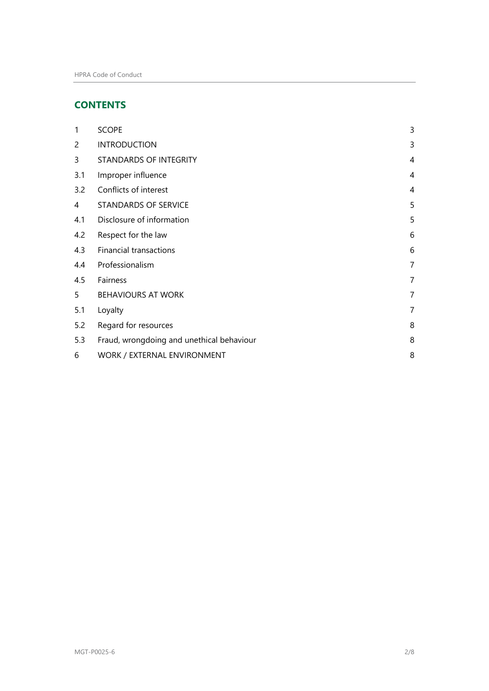# **CONTENTS**

| 1              | <b>SCOPE</b>                              | 3              |
|----------------|-------------------------------------------|----------------|
| $\overline{c}$ | <b>INTRODUCTION</b>                       | 3              |
| 3              | STANDARDS OF INTEGRITY                    | 4              |
| 3.1            | Improper influence                        | 4              |
| 3.2            | Conflicts of interest                     | 4              |
| 4              | STANDARDS OF SERVICE                      | 5              |
| 4.1            | Disclosure of information                 | 5              |
| 4.2            | Respect for the law                       | 6              |
| 4.3            | <b>Financial transactions</b>             | 6              |
| 4.4            | Professionalism                           | 7              |
| 4.5            | Fairness                                  | 7              |
| 5              | <b>BEHAVIOURS AT WORK</b>                 | $\overline{7}$ |
| 5.1            | Loyalty                                   | 7              |
| 5.2            | Regard for resources                      | 8              |
| 5.3            | Fraud, wrongdoing and unethical behaviour | 8              |
| 6              | WORK / EXTERNAL ENVIRONMENT               | 8              |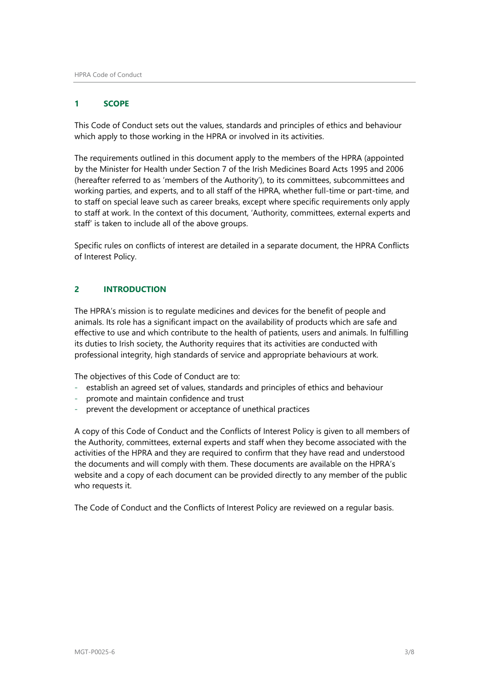# <span id="page-2-0"></span>**1 SCOPE**

This Code of Conduct sets out the values, standards and principles of ethics and behaviour which apply to those working in the HPRA or involved in its activities.

The requirements outlined in this document apply to the members of the HPRA (appointed by the Minister for Health under Section 7 of the Irish Medicines Board Acts 1995 and 2006 (hereafter referred to as 'members of the Authority'), to its committees, subcommittees and working parties, and experts, and to all staff of the HPRA, whether full-time or part-time, and to staff on special leave such as career breaks, except where specific requirements only apply to staff at work. In the context of this document, 'Authority, committees, external experts and staff' is taken to include all of the above groups.

Specific rules on conflicts of interest are detailed in a separate document, the HPRA Conflicts of Interest Policy.

# <span id="page-2-1"></span>**2 INTRODUCTION**

The HPRA's mission is to regulate medicines and devices for the benefit of people and animals. Its role has a significant impact on the availability of products which are safe and effective to use and which contribute to the health of patients, users and animals. In fulfilling its duties to Irish society, the Authority requires that its activities are conducted with professional integrity, high standards of service and appropriate behaviours at work.

The objectives of this Code of Conduct are to:

- establish an agreed set of values, standards and principles of ethics and behaviour
- promote and maintain confidence and trust
- prevent the development or acceptance of unethical practices

A copy of this Code of Conduct and the Conflicts of Interest Policy is given to all members of the Authority, committees, external experts and staff when they become associated with the activities of the HPRA and they are required to confirm that they have read and understood the documents and will comply with them. These documents are available on the HPRA's website and a copy of each document can be provided directly to any member of the public who requests it.

The Code of Conduct and the Conflicts of Interest Policy are reviewed on a regular basis.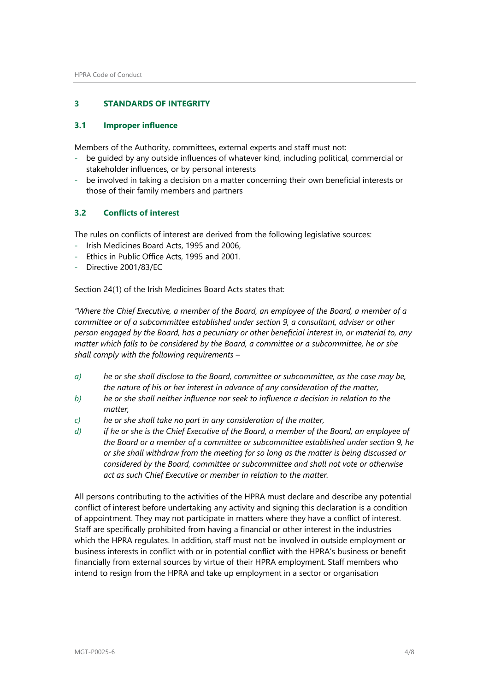# <span id="page-3-0"></span>**3 STANDARDS OF INTEGRITY**

#### <span id="page-3-1"></span>**3.1 Improper influence**

Members of the Authority, committees, external experts and staff must not:

- be guided by any outside influences of whatever kind, including political, commercial or stakeholder influences, or by personal interests
- be involved in taking a decision on a matter concerning their own beneficial interests or those of their family members and partners

#### <span id="page-3-2"></span>**3.2 Conflicts of interest**

The rules on conflicts of interest are derived from the following legislative sources:

- Irish Medicines Board Acts, 1995 and 2006,
- Ethics in Public Office Acts, 1995 and 2001.
- Directive 2001/83/FC

Section 24(1) of the Irish Medicines Board Acts states that:

*"Where the Chief Executive, a member of the Board, an employee of the Board, a member of a committee or of a subcommittee established under section 9, a consultant, adviser or other person engaged by the Board, has a pecuniary or other beneficial interest in, or material to, any matter which falls to be considered by the Board, a committee or a subcommittee, he or she shall comply with the following requirements –*

- *a) he or she shall disclose to the Board, committee or subcommittee, as the case may be, the nature of his or her interest in advance of any consideration of the matter,*
- *b) he or she shall neither influence nor seek to influence a decision in relation to the matter,*
- *c) he or she shall take no part in any consideration of the matter,*
- *d) if he or she is the Chief Executive of the Board, a member of the Board, an employee of the Board or a member of a committee or subcommittee established under section 9, he or she shall withdraw from the meeting for so long as the matter is being discussed or considered by the Board, committee or subcommittee and shall not vote or otherwise act as such Chief Executive or member in relation to the matter.*

All persons contributing to the activities of the HPRA must declare and describe any potential conflict of interest before undertaking any activity and signing this declaration is a condition of appointment. They may not participate in matters where they have a conflict of interest. Staff are specifically prohibited from having a financial or other interest in the industries which the HPRA regulates. In addition, staff must not be involved in outside employment or business interests in conflict with or in potential conflict with the HPRA's business or benefit financially from external sources by virtue of their HPRA employment. Staff members who intend to resign from the HPRA and take up employment in a sector or organisation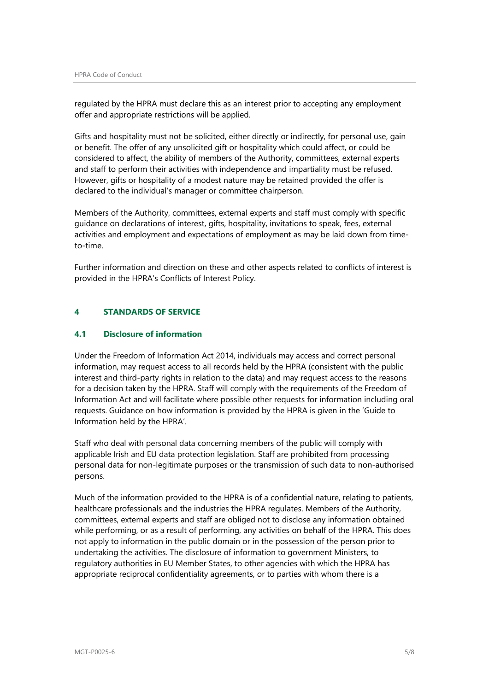regulated by the HPRA must declare this as an interest prior to accepting any employment offer and appropriate restrictions will be applied.

Gifts and hospitality must not be solicited, either directly or indirectly, for personal use, gain or benefit. The offer of any unsolicited gift or hospitality which could affect, or could be considered to affect, the ability of members of the Authority, committees, external experts and staff to perform their activities with independence and impartiality must be refused. However, gifts or hospitality of a modest nature may be retained provided the offer is declared to the individual's manager or committee chairperson.

Members of the Authority, committees, external experts and staff must comply with specific guidance on declarations of interest, gifts, hospitality, invitations to speak, fees, external activities and employment and expectations of employment as may be laid down from timeto-time.

Further information and direction on these and other aspects related to conflicts of interest is provided in the HPRA's Conflicts of Interest Policy.

# <span id="page-4-0"></span>**4 STANDARDS OF SERVICE**

### <span id="page-4-1"></span>**4.1 Disclosure of information**

Under the Freedom of Information Act 2014, individuals may access and correct personal information, may request access to all records held by the HPRA (consistent with the public interest and third-party rights in relation to the data) and may request access to the reasons for a decision taken by the HPRA. Staff will comply with the requirements of the Freedom of Information Act and will facilitate where possible other requests for information including oral requests. Guidance on how information is provided by the HPRA is given in the 'Guide to Information held by the HPRA'.

Staff who deal with personal data concerning members of the public will comply with applicable Irish and EU data protection legislation. Staff are prohibited from processing personal data for non-legitimate purposes or the transmission of such data to non-authorised persons.

Much of the information provided to the HPRA is of a confidential nature, relating to patients, healthcare professionals and the industries the HPRA regulates. Members of the Authority, committees, external experts and staff are obliged not to disclose any information obtained while performing, or as a result of performing, any activities on behalf of the HPRA. This does not apply to information in the public domain or in the possession of the person prior to undertaking the activities. The disclosure of information to government Ministers, to regulatory authorities in EU Member States, to other agencies with which the HPRA has appropriate reciprocal confidentiality agreements, or to parties with whom there is a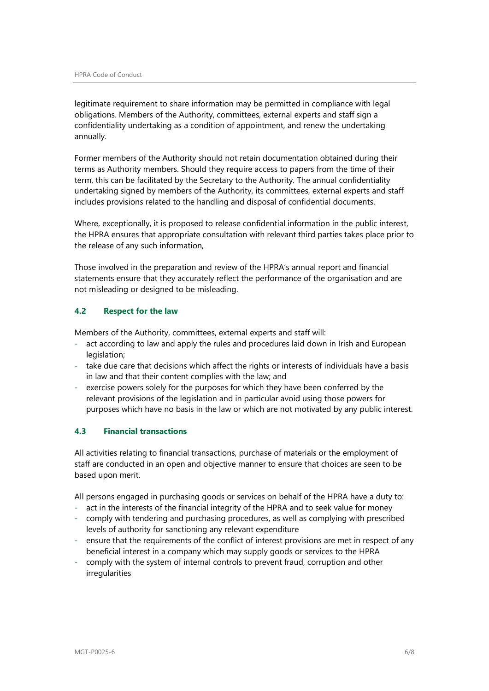legitimate requirement to share information may be permitted in compliance with legal obligations. Members of the Authority, committees, external experts and staff sign a confidentiality undertaking as a condition of appointment, and renew the undertaking annually.

Former members of the Authority should not retain documentation obtained during their terms as Authority members. Should they require access to papers from the time of their term, this can be facilitated by the Secretary to the Authority. The annual confidentiality undertaking signed by members of the Authority, its committees, external experts and staff includes provisions related to the handling and disposal of confidential documents.

Where, exceptionally, it is proposed to release confidential information in the public interest, the HPRA ensures that appropriate consultation with relevant third parties takes place prior to the release of any such information,

Those involved in the preparation and review of the HPRA's annual report and financial statements ensure that they accurately reflect the performance of the organisation and are not misleading or designed to be misleading.

# <span id="page-5-0"></span>**4.2 Respect for the law**

Members of the Authority, committees, external experts and staff will:

- act according to law and apply the rules and procedures laid down in Irish and European legislation;
- take due care that decisions which affect the rights or interests of individuals have a basis in law and that their content complies with the law; and
- exercise powers solely for the purposes for which they have been conferred by the relevant provisions of the legislation and in particular avoid using those powers for purposes which have no basis in the law or which are not motivated by any public interest.

### <span id="page-5-1"></span>**4.3 Financial transactions**

All activities relating to financial transactions, purchase of materials or the employment of staff are conducted in an open and objective manner to ensure that choices are seen to be based upon merit.

All persons engaged in purchasing goods or services on behalf of the HPRA have a duty to:

- act in the interests of the financial integrity of the HPRA and to seek value for money
- comply with tendering and purchasing procedures, as well as complying with prescribed levels of authority for sanctioning any relevant expenditure
- ensure that the requirements of the conflict of interest provisions are met in respect of any beneficial interest in a company which may supply goods or services to the HPRA
- comply with the system of internal controls to prevent fraud, corruption and other irregularities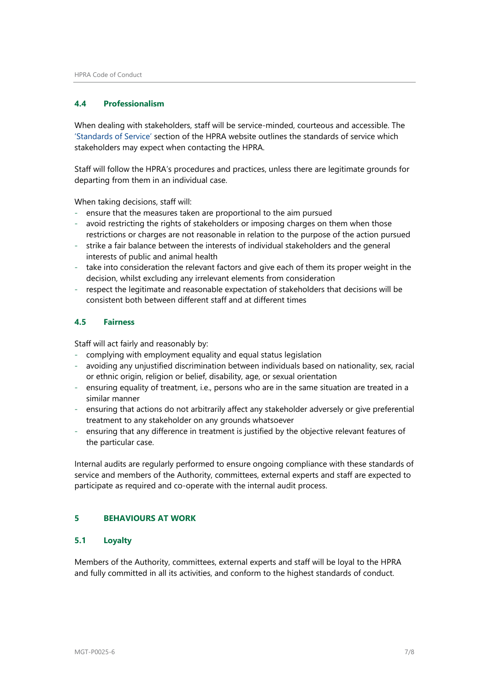#### <span id="page-6-0"></span>**4.4 Professionalism**

When dealing with stakeholders, staff will be service-minded, courteous and accessible. The ['Standards of Service'](https://www.hpra.ie/homepage/about-us/standards-of-service) section of the HPRA website outlines the standards of service which stakeholders may expect when contacting the HPRA.

Staff will follow the HPRA's procedures and practices, unless there are legitimate grounds for departing from them in an individual case.

When taking decisions, staff will:

- ensure that the measures taken are proportional to the aim pursued
- avoid restricting the rights of stakeholders or imposing charges on them when those restrictions or charges are not reasonable in relation to the purpose of the action pursued
- strike a fair balance between the interests of individual stakeholders and the general interests of public and animal health
- take into consideration the relevant factors and give each of them its proper weight in the decision, whilst excluding any irrelevant elements from consideration
- respect the legitimate and reasonable expectation of stakeholders that decisions will be consistent both between different staff and at different times

# <span id="page-6-1"></span>**4.5 Fairness**

Staff will act fairly and reasonably by:

- complying with employment equality and equal status legislation
- avoiding any unjustified discrimination between individuals based on nationality, sex, racial or ethnic origin, religion or belief, disability, age, or sexual orientation
- ensuring equality of treatment, i.e., persons who are in the same situation are treated in a similar manner
- ensuring that actions do not arbitrarily affect any stakeholder adversely or give preferential treatment to any stakeholder on any grounds whatsoever
- ensuring that any difference in treatment is justified by the objective relevant features of the particular case.

Internal audits are regularly performed to ensure ongoing compliance with these standards of service and members of the Authority, committees, external experts and staff are expected to participate as required and co-operate with the internal audit process.

# <span id="page-6-2"></span>**5 BEHAVIOURS AT WORK**

#### <span id="page-6-3"></span>**5.1 Loyalty**

Members of the Authority, committees, external experts and staff will be loyal to the HPRA and fully committed in all its activities, and conform to the highest standards of conduct.